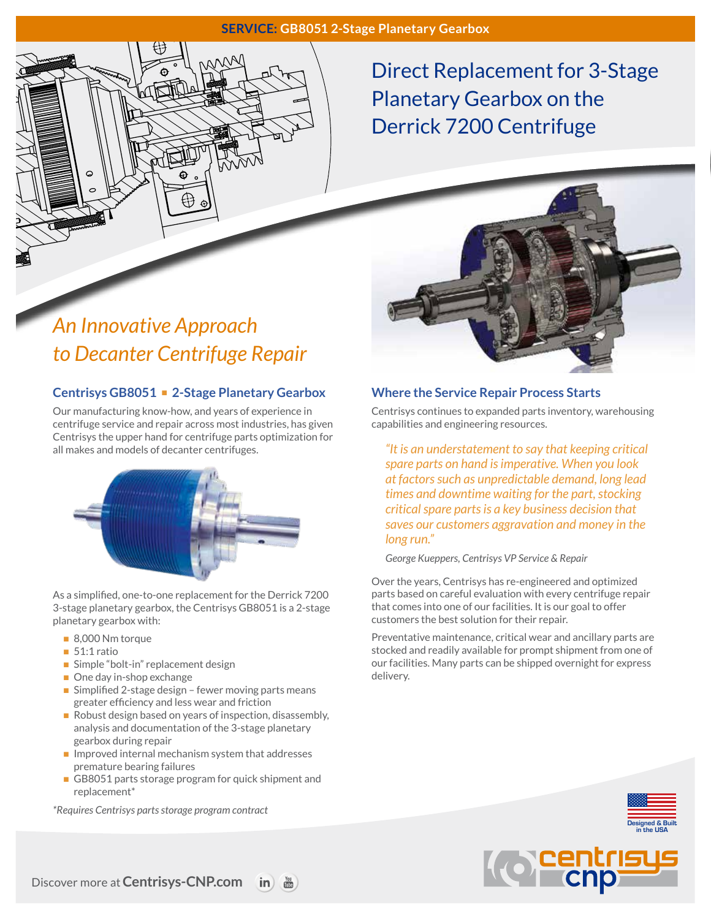### **SERVICE: GB8051 2-Stage Planetary Gearbox**



# *An Innovative Approach to Decanter Centrifuge Repair*

### **Centrisys GB8051** n **2-Stage Planetary Gearbox**

Our manufacturing know-how, and years of experience in centrifuge service and repair across most industries, has given Centrisys the upper hand for centrifuge parts optimization for all makes and models of decanter centrifuges.



As a simplified, one-to-one replacement for the Derrick 7200 3-stage planetary gearbox, the Centrisys GB8051 is a 2-stage planetary gearbox with:

- $\blacksquare$  8,000 Nm torque
- $\blacksquare$  51:1 ratio
- $\blacksquare$  Simple "bolt-in" replacement design
- $\blacksquare$  One day in-shop exchange
- $\blacksquare$  Simplified 2-stage design fewer moving parts means greater efficiency and less wear and friction
- Robust design based on years of inspection, disassembly, analysis and documentation of the 3-stage planetary gearbox during repair
- $\blacksquare$  Improved internal mechanism system that addresses premature bearing failures
- GB8051 parts storage program for quick shipment and replacement\*

*\*Requires Centrisys parts storage program contract*

### **Where the Service Repair Process Starts**

Centrisys continues to expanded parts inventory, warehousing capabilities and engineering resources.

*"It is an understatement to say that keeping critical spare parts on hand is imperative. When you look at factors such as unpredictable demand, long lead times and downtime waiting for the part, stocking critical spare parts is a key business decision that saves our customers aggravation and money in the long run."*

*George Kueppers, Centrisys VP Service & Repair*

Over the years, Centrisys has re-engineered and optimized parts based on careful evaluation with every centrifuge repair that comes into one of our facilities. It is our goal to offer customers the best solution for their repair.

Preventative maintenance, critical wear and ancillary parts are stocked and readily available for prompt shipment from one of our facilities. Many parts can be shipped overnight for express delivery.